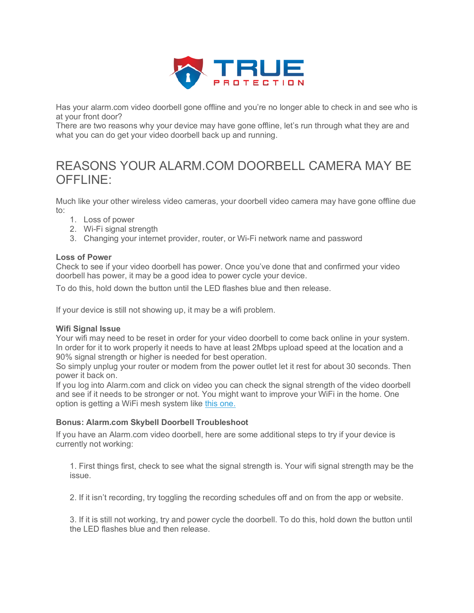

Has your alarm.com video doorbell gone offline and you're no longer able to check in and see who is at your front door?

There are two reasons why your device may have gone offline, let's run through what they are and what you can do get your video doorbell back up and running.

# REASONS YOUR ALARM.COM DOORBELL CAMERA MAY BE OFFLINE:

Much like your other wireless video cameras, your doorbell video camera may have gone offline due to:

- 1. Loss of power
- 2. Wi-Fi signal strength
- 3. Changing your internet provider, router, or Wi-Fi network name and password

## **Loss of Power**

Check to see if your video doorbell has power. Once you've done that and confirmed your video doorbell has power, it may be a good idea to power cycle your device.

To do this, hold down the button until the LED flashes blue and then release.

If your device is still not showing up, it may be a wifi problem.

## **Wifi Signal Issue**

Your wifi may need to be reset in order for your video doorbell to come back online in your system. In order for it to work properly it needs to have at least 2Mbps upload speed at the location and a 90% signal strength or higher is needed for best operation.

So simply unplug your router or modem from the power outlet let it rest for about 30 seconds. Then power it back on.

If you log into Alarm.com and click on video you can check the signal strength of the video doorbell and see if it needs to be stronger or not. You might want to improve your WiFi in the home. One option is getting a WiFi mesh system like this one.

## **Bonus: Alarm.com Skybell Doorbell Troubleshoot**

If you have an Alarm.com video doorbell, here are some additional steps to try if your device is currently not working:

1. First things first, check to see what the signal strength is. Your wifi signal strength may be the issue.

2. If it isn't recording, try toggling the recording schedules off and on from the app or website.

3. If it is still not working, try and power cycle the doorbell. To do this, hold down the button until the LED flashes blue and then release.